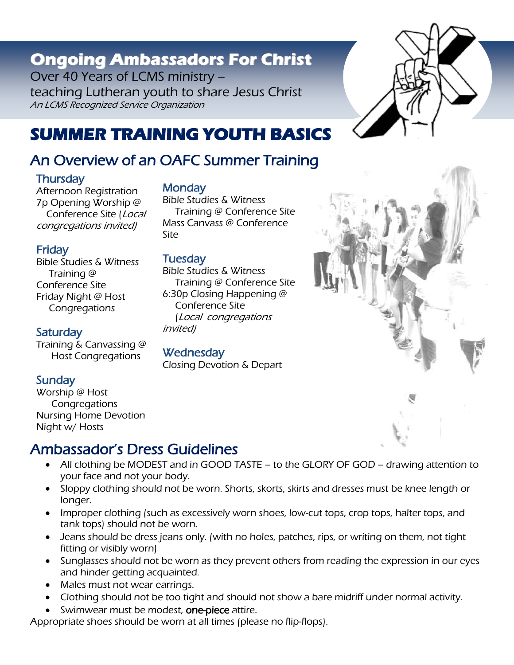# **Ongoing Ambassadors For Christ**

Over 40 Years of LCMS ministry – teaching Lutheran youth to share Jesus Christ An LCMS Recognized Service Organization



## An Overview of an OAFC Summer Training

#### **Thursday**

Afternoon Registration 7p Opening Worship @ Conference Site (Local congregations invited)

#### Friday

Bible Studies & Witness Training @ Conference Site Friday Night @ Host **Congregations** 

#### **Saturday**

Training & Canvassing @ Host Congregations

#### **Sunday**

Worship @ Host **Congregations** Nursing Home Devotion Night w/ Hosts

## Ambassador's Dress Guidelines

- All clothing be MODEST and in GOOD TASTE to the GLORY OF GOD drawing attention to your face and not your body.
- Sloppy clothing should not be worn. Shorts, skorts, skirts and dresses must be [knee length](http://oafc.org/knee_high_example.html) or longer.
- Improper clothing (such as excessively worn shoes, low-cut tops, crop tops, halter tops, and tank tops) should not be worn.
- Jeans should be dress jeans only. (with no holes, patches, rips, or writing on them, not tight fitting or visibly worn)
- Sunglasses should not be worn as they prevent others from reading the expression in our eyes and hinder getting acquainted.
- Males must not wear earrings.
- Clothing should not be too tight and should not show a bare midriff under normal activity.
- Swimwear must be modest, one-piece attire.

Appropriate shoes should be worn at all times (please no flip-flops).

#### **Monday**

Bible Studies & Witness Training @ Conference Site Mass Canvass @ Conference Site

#### **Tuesday**

Bible Studies & Witness Training @ Conference Site 6:30p Closing Happening @ Conference Site (Local congregations invited)

#### **Wednesday**

Closing Devotion & Depart





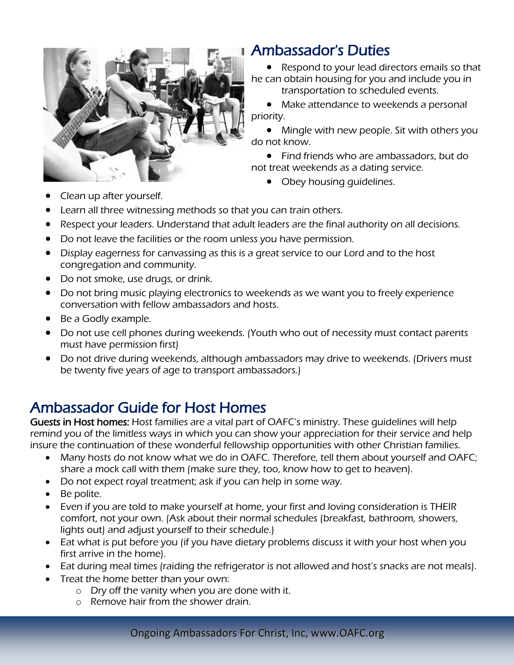

## Ambassador's Duties

• Respond to your lead directors emails so that he can obtain housing for you and include you in

transportation to scheduled events.

• Make attendance to weekends a personal priority.

• Mingle with new people. Sit with others you do not know.

• Find friends who are ambassadors, but do not treat weekends as a dating service.

• Obey housing quidelines.

Clean up after yourself.

Learn all three witnessing methods so that you can train others.

- Respect your leaders. Understand that adult leaders are the final authority on all decisions.
- Do not leave the facilities or the room unless you have permission.
- Display eagerness for canvassing as this is a great service to our Lord and to the host congregation and community.
- Do not smoke, use drugs, or drink.
- Do not bring music playing electronics to weekends as we want you to freely experience conversation with fellow ambassadors and hosts.
- Be a Godly example.
- Do not use cell phones during weekends. (Youth who out of necessity must contact parents must have permission first)
- Do not drive during weekends, although ambassadors may drive to weekends. (Drivers must be twenty five years of age to transport ambassadors.)

## Ambassador Guide for Host Homes

Guests in Host homes: Host families are a vital part of OAFC's ministry. These quidelines will help remind you of the limitless ways in which you can show your appreciation for their service and help insure the continuation of these wonderful fellowship opportunities with other Christian families.

- Many hosts do not know what we do in OAFC. Therefore, tell them about yourself and OAFC; share a mock call with them (make sure they, too, know how to get to heaven).
- Do not expect royal treatment; ask if you can help in some way.
- Be polite.
- Even if you are told to make yourself at home, your first and loving consideration is THEIR comfort, not your own. (Ask about their normal schedules (breakfast, bathroom, showers, lights out) and adjust yourself to their schedule.)
- Eat what is put before you (if you have dietary problems discuss it with your host when you first arrive in the home).
- Eat during meal times (raiding the refrigerator is not allowed and host's snacks are not meals).
	- Treat the home better than your own:
		- o Dry off the vanity when you are done with it.
		- o Remove hair from the shower drain.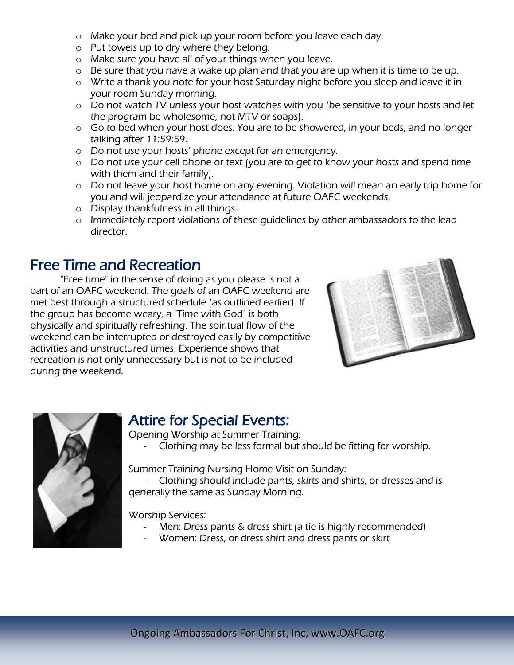- o Make your bed and pick up your room before you leave each day.
- o Put towels up to dry where they belong.
- o Make sure you have all of your things when you leave.
- o Be sure that you have a wake up plan and that you are up when it is time to be up.
- o Write a thank you note for your host Saturday night before you sleep and leave it in your room Sunday morning.
- o Do not watch TV unless your host watches with you (be sensitive to your hosts and let the program be wholesome, not MTV or soaps).
- o Go to bed when your host does. You are to be showered, in your beds, and no longer talking after 11:59:59.
- o Do not use your hosts' phone except for an emergency.
- o Do not use your cell phone or text (you are to get to know your hosts and spend time with them and their family).
- o Do not leave your host home on any evening. Violation will mean an early trip home for you and will jeopardize your attendance at future OAFC weekends.
- o Display thankfulness in all things.
- o Immediately report violations of these guidelines by other ambassadors to the lead director.

### Free Time and Recreation

"Free time" in the sense of doing as you please is not a part of an OAFC weekend. The goals of an OAFC weekend are met best through a structured schedule (as outlined earlier). If the group has become weary, a "Time with God" is both physically and spiritually refreshing. The spiritual flow of the weekend can be interrupted or destroyed easily by competitive activities and unstructured times. Experience shows that recreation is not only unnecessary but is not to be included during the weekend.





### Attire for Special Events:

Opening Worship at Summer Training:

Clothing may be less formal but should be fitting for worship.

Summer Training Nursing Home Visit on Sunday:

- Clothing should include pants, skirts and shirts, or dresses and is generally the same as Sunday Morning.

Worship Services:

- Men: Dress pants & dress shirt (a tie is highly recommended)
- Women: Dress, or dress shirt and dress pants or skirt